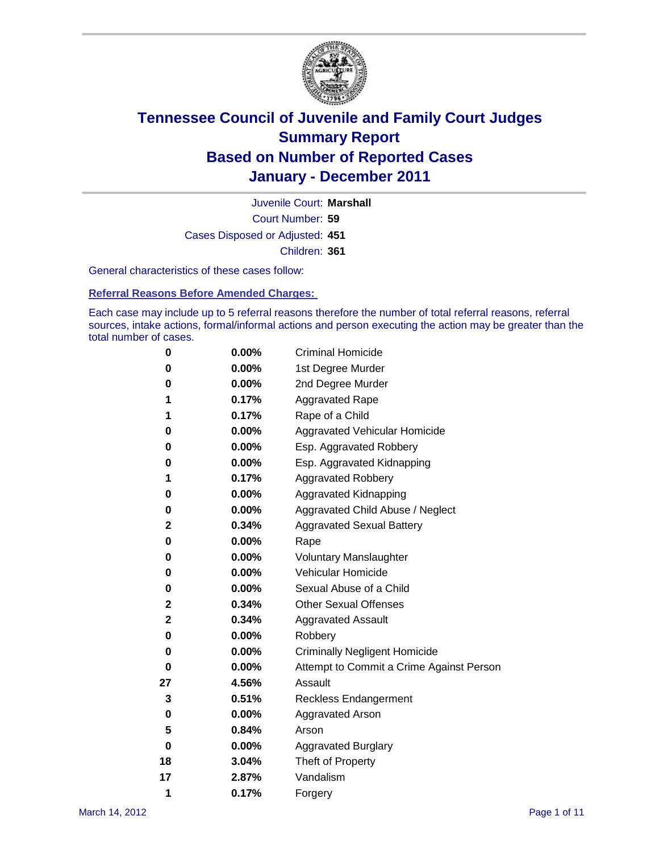

Court Number: **59** Juvenile Court: **Marshall** Cases Disposed or Adjusted: **451** Children: **361**

General characteristics of these cases follow:

**Referral Reasons Before Amended Charges:** 

Each case may include up to 5 referral reasons therefore the number of total referral reasons, referral sources, intake actions, formal/informal actions and person executing the action may be greater than the total number of cases.

| 0  | 0.00% | <b>Criminal Homicide</b>                 |
|----|-------|------------------------------------------|
| 0  | 0.00% | 1st Degree Murder                        |
| 0  | 0.00% | 2nd Degree Murder                        |
| 1  | 0.17% | <b>Aggravated Rape</b>                   |
| 1  | 0.17% | Rape of a Child                          |
| 0  | 0.00% | Aggravated Vehicular Homicide            |
| 0  | 0.00% | Esp. Aggravated Robbery                  |
| 0  | 0.00% | Esp. Aggravated Kidnapping               |
| 1  | 0.17% | Aggravated Robbery                       |
| 0  | 0.00% | Aggravated Kidnapping                    |
| 0  | 0.00% | Aggravated Child Abuse / Neglect         |
| 2  | 0.34% | <b>Aggravated Sexual Battery</b>         |
| 0  | 0.00% | Rape                                     |
| 0  | 0.00% | <b>Voluntary Manslaughter</b>            |
| 0  | 0.00% | Vehicular Homicide                       |
| 0  | 0.00% | Sexual Abuse of a Child                  |
| 2  | 0.34% | <b>Other Sexual Offenses</b>             |
| 2  | 0.34% | <b>Aggravated Assault</b>                |
| 0  | 0.00% | Robbery                                  |
| 0  | 0.00% | <b>Criminally Negligent Homicide</b>     |
| 0  | 0.00% | Attempt to Commit a Crime Against Person |
| 27 | 4.56% | Assault                                  |
| 3  | 0.51% | <b>Reckless Endangerment</b>             |
| 0  | 0.00% | <b>Aggravated Arson</b>                  |
| 5  | 0.84% | Arson                                    |
| 0  | 0.00% | <b>Aggravated Burglary</b>               |
| 18 | 3.04% | Theft of Property                        |
| 17 | 2.87% | Vandalism                                |
| 1  | 0.17% | Forgery                                  |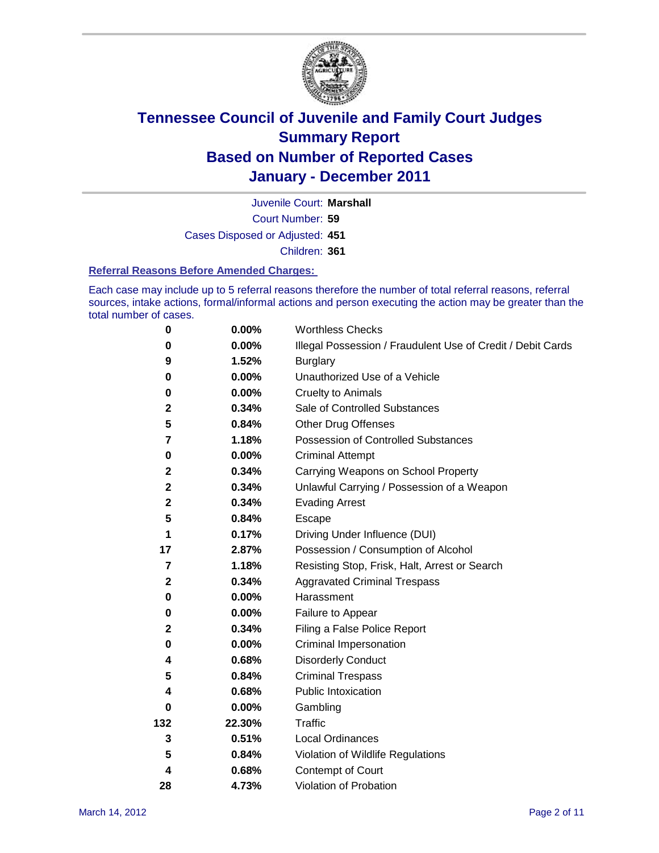

Court Number: **59** Juvenile Court: **Marshall**

Cases Disposed or Adjusted: **451**

Children: **361**

#### **Referral Reasons Before Amended Charges:**

Each case may include up to 5 referral reasons therefore the number of total referral reasons, referral sources, intake actions, formal/informal actions and person executing the action may be greater than the total number of cases.

| $\pmb{0}$        | 0.00%    | <b>Worthless Checks</b>                                     |
|------------------|----------|-------------------------------------------------------------|
| 0                | 0.00%    | Illegal Possession / Fraudulent Use of Credit / Debit Cards |
| 9                | 1.52%    | <b>Burglary</b>                                             |
| $\bf{0}$         | $0.00\%$ | Unauthorized Use of a Vehicle                               |
| 0                | $0.00\%$ | <b>Cruelty to Animals</b>                                   |
| 2                | 0.34%    | Sale of Controlled Substances                               |
| 5                | 0.84%    | <b>Other Drug Offenses</b>                                  |
| 7                | 1.18%    | Possession of Controlled Substances                         |
| 0                | $0.00\%$ | <b>Criminal Attempt</b>                                     |
| $\boldsymbol{2}$ | 0.34%    | Carrying Weapons on School Property                         |
| $\mathbf 2$      | 0.34%    | Unlawful Carrying / Possession of a Weapon                  |
| $\mathbf 2$      | 0.34%    | <b>Evading Arrest</b>                                       |
| 5                | 0.84%    | Escape                                                      |
| 1                | 0.17%    | Driving Under Influence (DUI)                               |
| 17               | 2.87%    | Possession / Consumption of Alcohol                         |
| 7                | 1.18%    | Resisting Stop, Frisk, Halt, Arrest or Search               |
| $\mathbf{2}$     | 0.34%    | <b>Aggravated Criminal Trespass</b>                         |
| 0                | $0.00\%$ | Harassment                                                  |
| 0                | 0.00%    | Failure to Appear                                           |
| $\mathbf 2$      | 0.34%    | Filing a False Police Report                                |
| 0                | 0.00%    | Criminal Impersonation                                      |
| 4                | 0.68%    | <b>Disorderly Conduct</b>                                   |
| 5                | 0.84%    | <b>Criminal Trespass</b>                                    |
| 4                | 0.68%    | <b>Public Intoxication</b>                                  |
| 0                | 0.00%    | Gambling                                                    |
| 132              | 22.30%   | <b>Traffic</b>                                              |
| 3                | 0.51%    | Local Ordinances                                            |
| 5                | 0.84%    | Violation of Wildlife Regulations                           |
| 4                | 0.68%    | Contempt of Court                                           |
| 28               | 4.73%    | Violation of Probation                                      |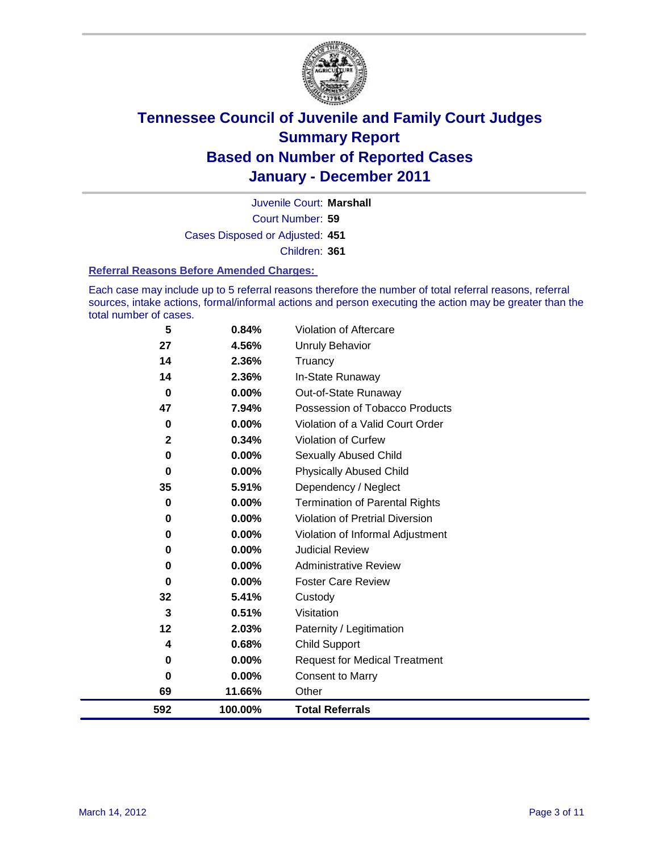

Court Number: **59** Juvenile Court: **Marshall** Cases Disposed or Adjusted: **451** Children: **361**

#### **Referral Reasons Before Amended Charges:**

Each case may include up to 5 referral reasons therefore the number of total referral reasons, referral sources, intake actions, formal/informal actions and person executing the action may be greater than the total number of cases.

| 5           | 0.84%    | Violation of Aftercare                 |
|-------------|----------|----------------------------------------|
| 27          | 4.56%    | <b>Unruly Behavior</b>                 |
| 14          | 2.36%    | Truancy                                |
| 14          | 2.36%    | In-State Runaway                       |
| $\bf{0}$    | 0.00%    | Out-of-State Runaway                   |
| 47          | 7.94%    | Possession of Tobacco Products         |
| 0           | $0.00\%$ | Violation of a Valid Court Order       |
| $\mathbf 2$ | 0.34%    | Violation of Curfew                    |
| 0           | $0.00\%$ | Sexually Abused Child                  |
| $\bf{0}$    | 0.00%    | <b>Physically Abused Child</b>         |
| 35          | 5.91%    | Dependency / Neglect                   |
| 0           | 0.00%    | Termination of Parental Rights         |
| 0           | $0.00\%$ | <b>Violation of Pretrial Diversion</b> |
| 0           | 0.00%    | Violation of Informal Adjustment       |
| 0           | $0.00\%$ | <b>Judicial Review</b>                 |
| 0           | $0.00\%$ | <b>Administrative Review</b>           |
| $\bf{0}$    | $0.00\%$ | <b>Foster Care Review</b>              |
| 32          | 5.41%    | Custody                                |
| 3           | 0.51%    | Visitation                             |
| 12          | 2.03%    | Paternity / Legitimation               |
| 4           | 0.68%    | <b>Child Support</b>                   |
| $\bf{0}$    | $0.00\%$ | <b>Request for Medical Treatment</b>   |
| 0           | 0.00%    | <b>Consent to Marry</b>                |
| 69          | 11.66%   | Other                                  |
| 592         | 100.00%  | <b>Total Referrals</b>                 |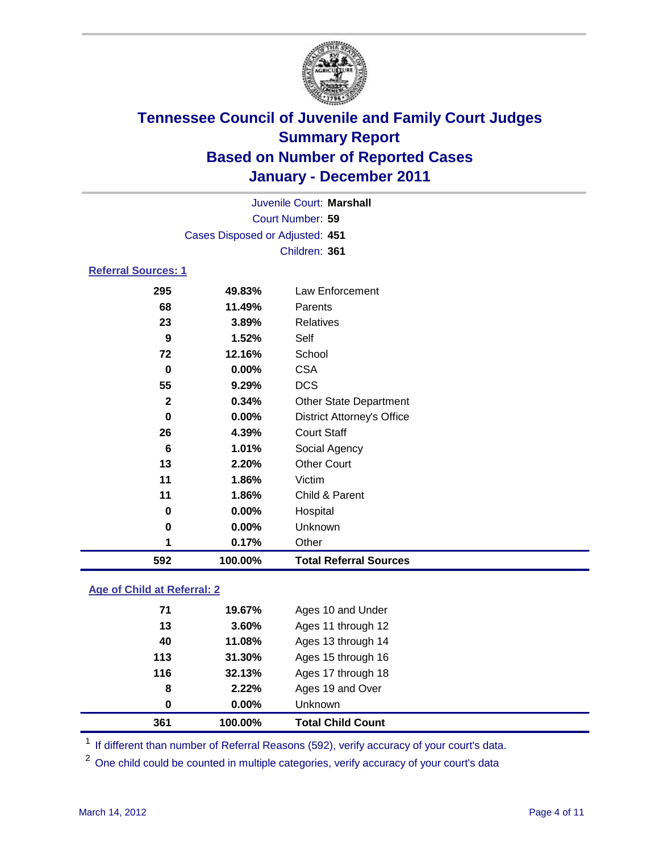

|                            |                                 | Juvenile Court: Marshall          |  |
|----------------------------|---------------------------------|-----------------------------------|--|
|                            |                                 | Court Number: 59                  |  |
|                            | Cases Disposed or Adjusted: 451 |                                   |  |
|                            |                                 | Children: 361                     |  |
| <b>Referral Sources: 1</b> |                                 |                                   |  |
| 295                        | 49.83%                          | Law Enforcement                   |  |
| 68                         | 11.49%                          | Parents                           |  |
| 23                         | 3.89%                           | <b>Relatives</b>                  |  |
| 9                          | $1.52\%$                        | Self                              |  |
| 72                         | 12.16%                          | School                            |  |
| 0                          | $0.00\%$                        | <b>CSA</b>                        |  |
| 55                         | 9.29%                           | <b>DCS</b>                        |  |
| 2                          | 0.34%                           | <b>Other State Department</b>     |  |
| 0                          | $0.00\%$                        | <b>District Attorney's Office</b> |  |
| 26                         | 4.39%                           | <b>Court Staff</b>                |  |
| ◠                          | 4. A40/                         |                                   |  |

| 592 | 100.00%  | <b>Total Referral Sources</b> |  |
|-----|----------|-------------------------------|--|
| 4   | 0.17%    | Other                         |  |
| 0   | $0.00\%$ | Unknown                       |  |
| 0   | 0.00%    | Hospital                      |  |
| 11  | 1.86%    | Child & Parent                |  |
| 11  | 1.86%    | Victim                        |  |
| 13  | 2.20%    | <b>Other Court</b>            |  |
| 6   | 1.01%    | Social Agency                 |  |

### **Age of Child at Referral: 2**

| 361 | 100.00% | <b>Total Child Count</b> |  |
|-----|---------|--------------------------|--|
| 0   | 0.00%   | <b>Unknown</b>           |  |
| 8   | 2.22%   | Ages 19 and Over         |  |
| 116 | 32.13%  | Ages 17 through 18       |  |
| 113 | 31.30%  | Ages 15 through 16       |  |
| 40  | 11.08%  | Ages 13 through 14       |  |
| 13  | 3.60%   | Ages 11 through 12       |  |
| 71  | 19.67%  | Ages 10 and Under        |  |
|     |         |                          |  |

<sup>1</sup> If different than number of Referral Reasons (592), verify accuracy of your court's data.

One child could be counted in multiple categories, verify accuracy of your court's data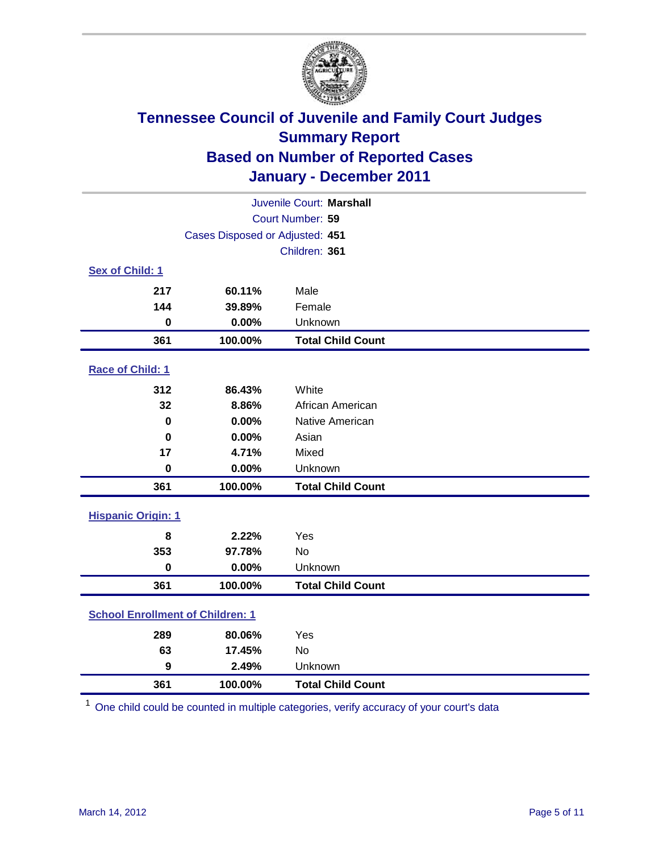

| Juvenile Court: Marshall                |                                 |                          |  |  |  |
|-----------------------------------------|---------------------------------|--------------------------|--|--|--|
| Court Number: 59                        |                                 |                          |  |  |  |
|                                         | Cases Disposed or Adjusted: 451 |                          |  |  |  |
|                                         |                                 | Children: 361            |  |  |  |
| Sex of Child: 1                         |                                 |                          |  |  |  |
| 217                                     | 60.11%                          | Male                     |  |  |  |
| 144                                     | 39.89%                          | Female                   |  |  |  |
| $\mathbf 0$                             | 0.00%                           | Unknown                  |  |  |  |
| 361                                     | 100.00%                         | <b>Total Child Count</b> |  |  |  |
| Race of Child: 1                        |                                 |                          |  |  |  |
| 312                                     | 86.43%                          | White                    |  |  |  |
| 32                                      | 8.86%                           | African American         |  |  |  |
| 0                                       | 0.00%                           | Native American          |  |  |  |
| $\mathbf 0$                             | 0.00%                           | Asian                    |  |  |  |
| 17                                      | 4.71%                           | Mixed                    |  |  |  |
| $\pmb{0}$                               | 0.00%                           | Unknown                  |  |  |  |
| 361                                     | 100.00%                         | <b>Total Child Count</b> |  |  |  |
| <b>Hispanic Origin: 1</b>               |                                 |                          |  |  |  |
| 8                                       | 2.22%                           | Yes                      |  |  |  |
| 353                                     | 97.78%                          | <b>No</b>                |  |  |  |
| $\mathbf 0$                             | 0.00%                           | Unknown                  |  |  |  |
| 361                                     | 100.00%                         | <b>Total Child Count</b> |  |  |  |
| <b>School Enrollment of Children: 1</b> |                                 |                          |  |  |  |
| 289                                     | 80.06%                          | Yes                      |  |  |  |
| 63                                      | 17.45%                          | No                       |  |  |  |
| 9                                       | 2.49%                           | Unknown                  |  |  |  |
| 361                                     | 100.00%                         | <b>Total Child Count</b> |  |  |  |

One child could be counted in multiple categories, verify accuracy of your court's data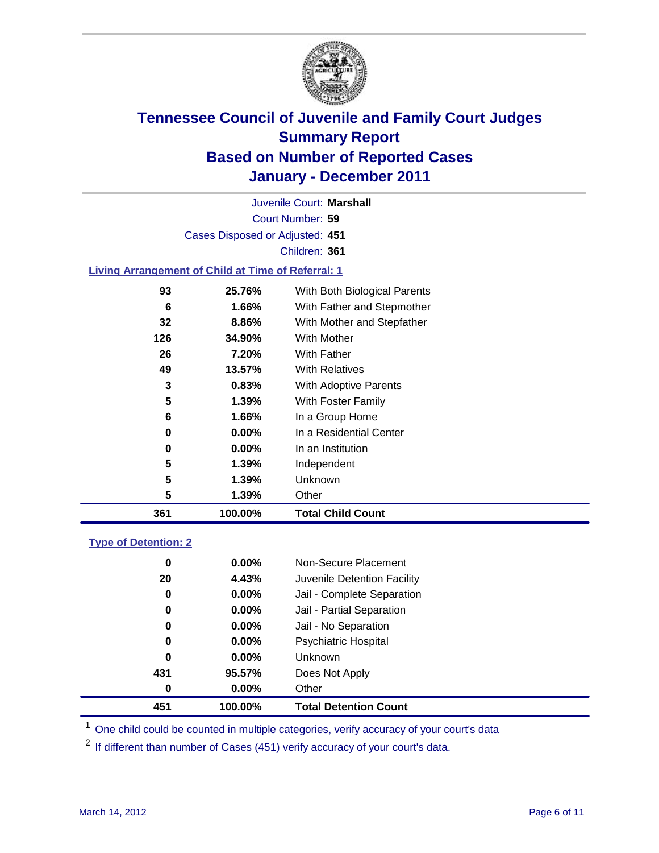

Court Number: **59** Juvenile Court: **Marshall** Cases Disposed or Adjusted: **451** Children: **361 Living Arrangement of Child at Time of Referral: 1 25.76%** With Both Biological Parents **1.66%** With Father and Stepmother **8.86%** With Mother and Stepfather

| 361 | 100.00%      |                | <b>Total Child Count</b>                       |
|-----|--------------|----------------|------------------------------------------------|
|     | 5            | 1.39%<br>Other |                                                |
|     | 5            | 1.39%          | Unknown                                        |
|     | 5            | 1.39%          | Independent                                    |
|     | 0            | $0.00\%$       | In an Institution                              |
|     | 0            | $0.00\%$       | In a Residential Center                        |
|     | 6            | 1.66%          | In a Group Home                                |
|     | 5            | 1.39%          | <b>With Foster Family</b>                      |
|     | 3            | 0.83%          | With Adoptive Parents                          |
|     | 49<br>13.57% |                | <b>With Relatives</b>                          |
|     | 26           | 7.20%          | With Father                                    |
| 126 | 34.90%       |                | With Mother                                    |
|     | JZ           | 0.OV /0        | <b><i>VVIIII IVIUITEI AIIU JIEPIAIITEI</i></b> |

### **Type of Detention: 2**

| 451 | 100.00%  | <b>Total Detention Count</b> |
|-----|----------|------------------------------|
| 0   | $0.00\%$ | Other                        |
| 431 | 95.57%   | Does Not Apply               |
| 0   | $0.00\%$ | <b>Unknown</b>               |
| 0   | 0.00%    | <b>Psychiatric Hospital</b>  |
| 0   | 0.00%    | Jail - No Separation         |
| 0   | $0.00\%$ | Jail - Partial Separation    |
| 0   | 0.00%    | Jail - Complete Separation   |
| 20  | 4.43%    | Juvenile Detention Facility  |
| 0   | $0.00\%$ | Non-Secure Placement         |
|     |          |                              |

<sup>1</sup> One child could be counted in multiple categories, verify accuracy of your court's data

<sup>2</sup> If different than number of Cases (451) verify accuracy of your court's data.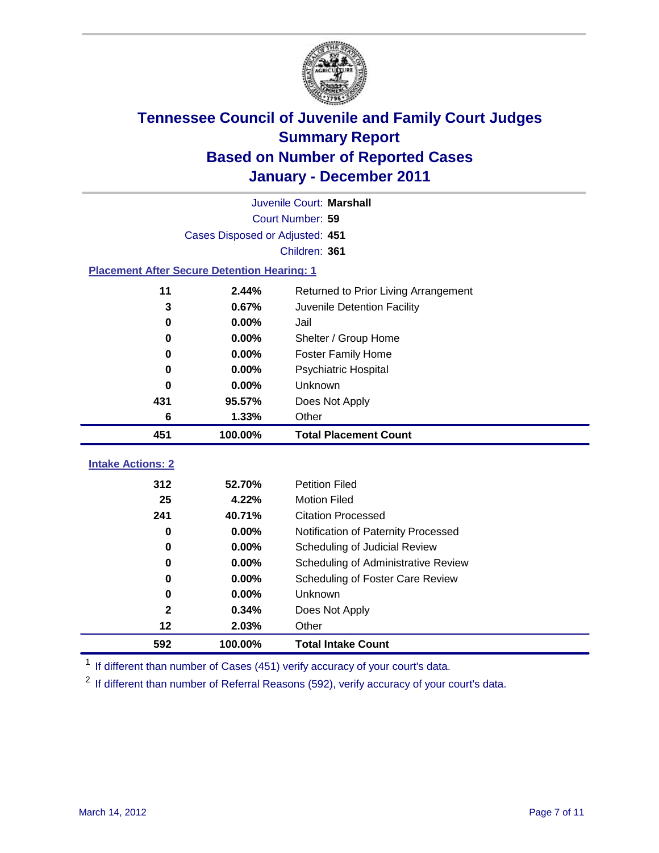

| Juvenile Court: Marshall                           |                                 |                                      |  |  |  |
|----------------------------------------------------|---------------------------------|--------------------------------------|--|--|--|
| Court Number: 59                                   |                                 |                                      |  |  |  |
|                                                    | Cases Disposed or Adjusted: 451 |                                      |  |  |  |
|                                                    |                                 | Children: 361                        |  |  |  |
| <b>Placement After Secure Detention Hearing: 1</b> |                                 |                                      |  |  |  |
| 11                                                 | 2.44%                           | Returned to Prior Living Arrangement |  |  |  |
| 3                                                  | 0.67%                           | Juvenile Detention Facility          |  |  |  |
| 0                                                  | 0.00%                           | Jail                                 |  |  |  |
| 0                                                  | 0.00%                           | Shelter / Group Home                 |  |  |  |
| 0                                                  | 0.00%                           | <b>Foster Family Home</b>            |  |  |  |
| 0                                                  | 0.00%                           | Psychiatric Hospital                 |  |  |  |
| 0                                                  | 0.00%                           | Unknown                              |  |  |  |
| 431                                                | 95.57%                          | Does Not Apply                       |  |  |  |
| 6                                                  | 1.33%                           | Other                                |  |  |  |
| 451                                                | 100.00%                         | <b>Total Placement Count</b>         |  |  |  |
| <b>Intake Actions: 2</b>                           |                                 |                                      |  |  |  |
| 312                                                | 52.70%                          | <b>Petition Filed</b>                |  |  |  |
| 25                                                 | 4.22%                           | <b>Motion Filed</b>                  |  |  |  |
| 241                                                | 40.71%                          | <b>Citation Processed</b>            |  |  |  |
| 0                                                  | 0.00%                           | Notification of Paternity Processed  |  |  |  |
| 0                                                  | 0.00%                           | Scheduling of Judicial Review        |  |  |  |
| 0                                                  | 0.00%                           | Scheduling of Administrative Review  |  |  |  |
| 0                                                  | 0.00%                           | Scheduling of Foster Care Review     |  |  |  |
| 0                                                  | 0.00%                           | Unknown                              |  |  |  |
| 2                                                  | 0.34%                           | Does Not Apply                       |  |  |  |
| 12                                                 | 2.03%                           | Other                                |  |  |  |
| 592                                                | 100.00%                         |                                      |  |  |  |

<sup>1</sup> If different than number of Cases (451) verify accuracy of your court's data.

<sup>2</sup> If different than number of Referral Reasons (592), verify accuracy of your court's data.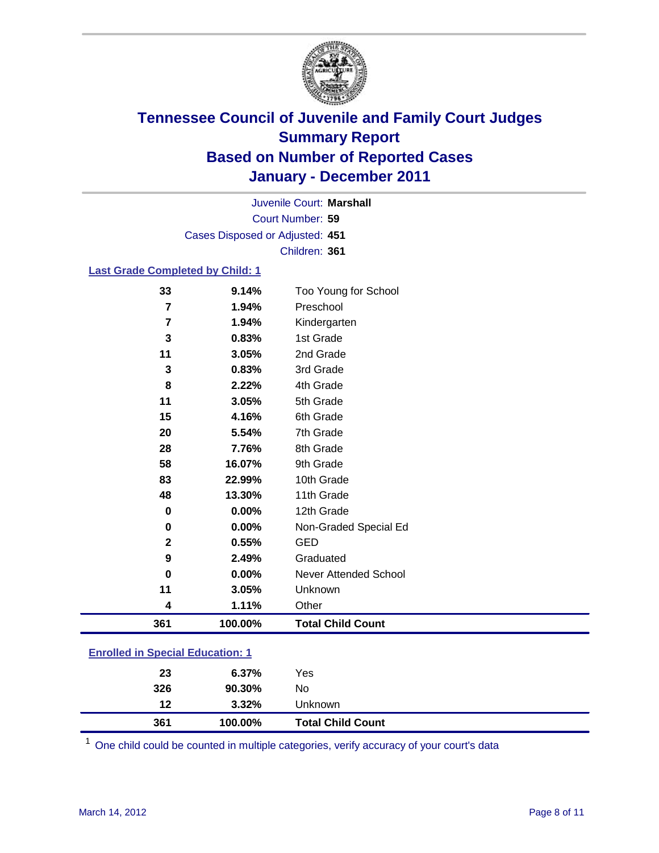

Court Number: **59** Juvenile Court: **Marshall** Cases Disposed or Adjusted: **451** Children: **361**

#### **Last Grade Completed by Child: 1**

| 33                                      | 9.14%   | Too Young for School         |  |
|-----------------------------------------|---------|------------------------------|--|
| 7                                       | 1.94%   | Preschool                    |  |
| 7                                       | 1.94%   | Kindergarten                 |  |
| $\mathbf 3$                             | 0.83%   | 1st Grade                    |  |
| 11                                      | 3.05%   | 2nd Grade                    |  |
| 3                                       | 0.83%   | 3rd Grade                    |  |
| 8                                       | 2.22%   | 4th Grade                    |  |
| 11                                      | 3.05%   | 5th Grade                    |  |
| 15                                      | 4.16%   | 6th Grade                    |  |
| 20                                      | 5.54%   | 7th Grade                    |  |
| 28                                      | 7.76%   | 8th Grade                    |  |
| 58                                      | 16.07%  | 9th Grade                    |  |
| 83                                      | 22.99%  | 10th Grade                   |  |
| 48                                      | 13.30%  | 11th Grade                   |  |
| $\bf{0}$                                | 0.00%   | 12th Grade                   |  |
| 0                                       | 0.00%   | Non-Graded Special Ed        |  |
| $\mathbf{2}$                            | 0.55%   | <b>GED</b>                   |  |
| 9                                       | 2.49%   | Graduated                    |  |
| 0                                       | 0.00%   | <b>Never Attended School</b> |  |
| 11                                      | 3.05%   | Unknown                      |  |
| 4                                       | 1.11%   | Other                        |  |
| 361                                     | 100.00% | <b>Total Child Count</b>     |  |
| <b>Enrolled in Special Education: 1</b> |         |                              |  |

| 361                                   | 100.00% | <b>Total Child Count</b> |  |  |  |
|---------------------------------------|---------|--------------------------|--|--|--|
| 12                                    | 3.32%   | Unknown                  |  |  |  |
| 326                                   | 90.30%  | No                       |  |  |  |
| 23                                    | 6.37%   | Yes                      |  |  |  |
| <u>Emonda in opecial Education. T</u> |         |                          |  |  |  |

One child could be counted in multiple categories, verify accuracy of your court's data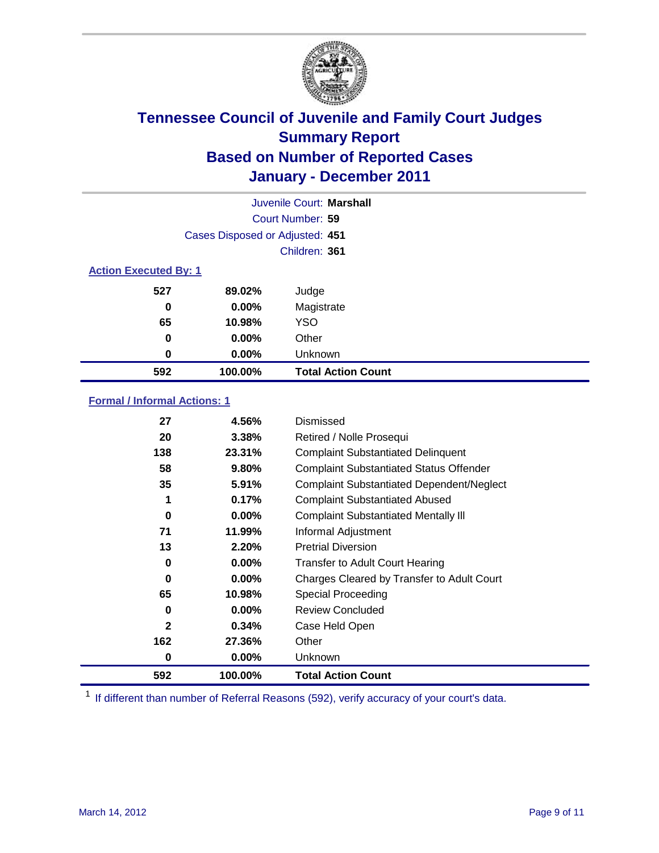

|                              |                                 | Juvenile Court: Marshall  |
|------------------------------|---------------------------------|---------------------------|
|                              |                                 | Court Number: 59          |
|                              | Cases Disposed or Adjusted: 451 |                           |
|                              |                                 | Children: 361             |
| <b>Action Executed By: 1</b> |                                 |                           |
| 527                          | 89.02%                          | Judge                     |
| 0                            | $0.00\%$                        | Magistrate                |
| 65                           | 10.98%                          | <b>YSO</b>                |
| 0                            | 0.00%                           | Other                     |
| 0                            | 0.00%                           | Unknown                   |
| 592                          | 100.00%                         | <b>Total Action Count</b> |

### **Formal / Informal Actions: 1**

| 27           | 4.56%    | Dismissed                                        |
|--------------|----------|--------------------------------------------------|
| 20           | 3.38%    | Retired / Nolle Prosequi                         |
| 138          | 23.31%   | <b>Complaint Substantiated Delinquent</b>        |
| 58           | 9.80%    | <b>Complaint Substantiated Status Offender</b>   |
| 35           | 5.91%    | <b>Complaint Substantiated Dependent/Neglect</b> |
| 1            | 0.17%    | <b>Complaint Substantiated Abused</b>            |
| 0            | $0.00\%$ | <b>Complaint Substantiated Mentally III</b>      |
| 71           | 11.99%   | Informal Adjustment                              |
| 13           | 2.20%    | <b>Pretrial Diversion</b>                        |
| 0            | $0.00\%$ | <b>Transfer to Adult Court Hearing</b>           |
| 0            | $0.00\%$ | Charges Cleared by Transfer to Adult Court       |
| 65           | 10.98%   | <b>Special Proceeding</b>                        |
| 0            | $0.00\%$ | <b>Review Concluded</b>                          |
| $\mathbf{2}$ | 0.34%    | Case Held Open                                   |
| 162          | 27.36%   | Other                                            |
| 0            | $0.00\%$ | Unknown                                          |
| 592          | 100.00%  | <b>Total Action Count</b>                        |

<sup>1</sup> If different than number of Referral Reasons (592), verify accuracy of your court's data.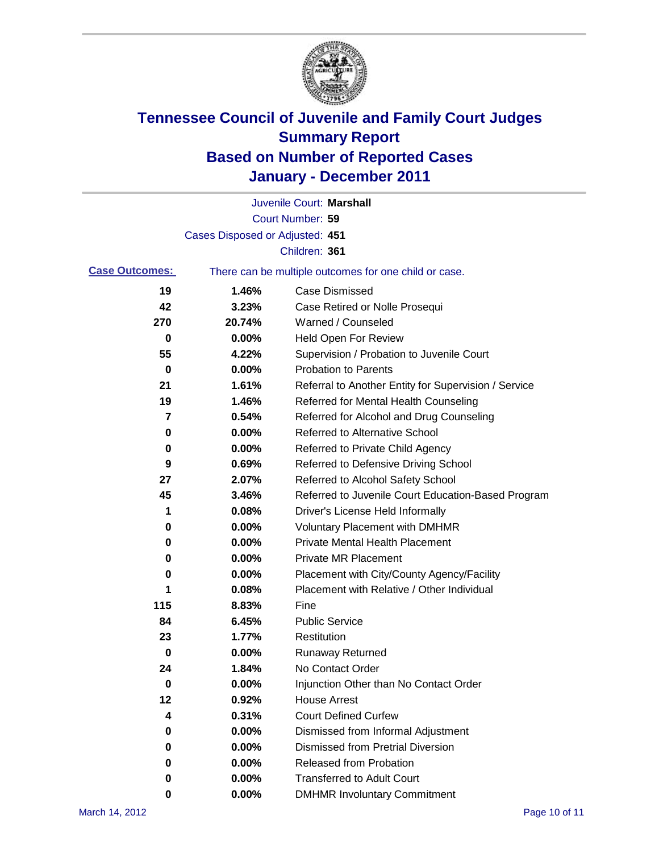

|                       |                                 | Juvenile Court: Marshall                              |
|-----------------------|---------------------------------|-------------------------------------------------------|
|                       |                                 | Court Number: 59                                      |
|                       | Cases Disposed or Adjusted: 451 |                                                       |
|                       |                                 | Children: 361                                         |
| <b>Case Outcomes:</b> |                                 | There can be multiple outcomes for one child or case. |
| 19                    | 1.46%                           | <b>Case Dismissed</b>                                 |
| 42                    | 3.23%                           | Case Retired or Nolle Prosequi                        |
| 270                   | 20.74%                          | Warned / Counseled                                    |
| 0                     | 0.00%                           | Held Open For Review                                  |
| 55                    | 4.22%                           | Supervision / Probation to Juvenile Court             |
| 0                     | 0.00%                           | <b>Probation to Parents</b>                           |
| 21                    | 1.61%                           | Referral to Another Entity for Supervision / Service  |
| 19                    | 1.46%                           | Referred for Mental Health Counseling                 |
| 7                     | 0.54%                           | Referred for Alcohol and Drug Counseling              |
| 0                     | 0.00%                           | Referred to Alternative School                        |
| 0                     | 0.00%                           | Referred to Private Child Agency                      |
| 9                     | 0.69%                           | Referred to Defensive Driving School                  |
| 27                    | 2.07%                           | Referred to Alcohol Safety School                     |
| 45                    | 3.46%                           | Referred to Juvenile Court Education-Based Program    |
| 1                     | 0.08%                           | Driver's License Held Informally                      |
| 0                     | 0.00%                           | <b>Voluntary Placement with DMHMR</b>                 |
| 0                     | 0.00%                           | Private Mental Health Placement                       |
| 0                     | 0.00%                           | <b>Private MR Placement</b>                           |
| 0                     | 0.00%                           | Placement with City/County Agency/Facility            |
| 1                     | 0.08%                           | Placement with Relative / Other Individual            |
| 115                   | 8.83%                           | Fine                                                  |
| 84                    | 6.45%                           | <b>Public Service</b>                                 |
| 23                    | 1.77%                           | Restitution                                           |
| 0                     | 0.00%                           | <b>Runaway Returned</b>                               |
| 24                    | 1.84%                           | No Contact Order                                      |
| 0                     | 0.00%                           | Injunction Other than No Contact Order                |
| 12                    | 0.92%                           | <b>House Arrest</b>                                   |
| 4                     | 0.31%                           | <b>Court Defined Curfew</b>                           |
| 0                     | $0.00\%$                        | Dismissed from Informal Adjustment                    |
| 0                     | $0.00\%$                        | <b>Dismissed from Pretrial Diversion</b>              |
| 0                     | 0.00%                           | <b>Released from Probation</b>                        |
| 0                     | $0.00\%$                        | <b>Transferred to Adult Court</b>                     |
| 0                     | $0.00\%$                        | <b>DMHMR Involuntary Commitment</b>                   |